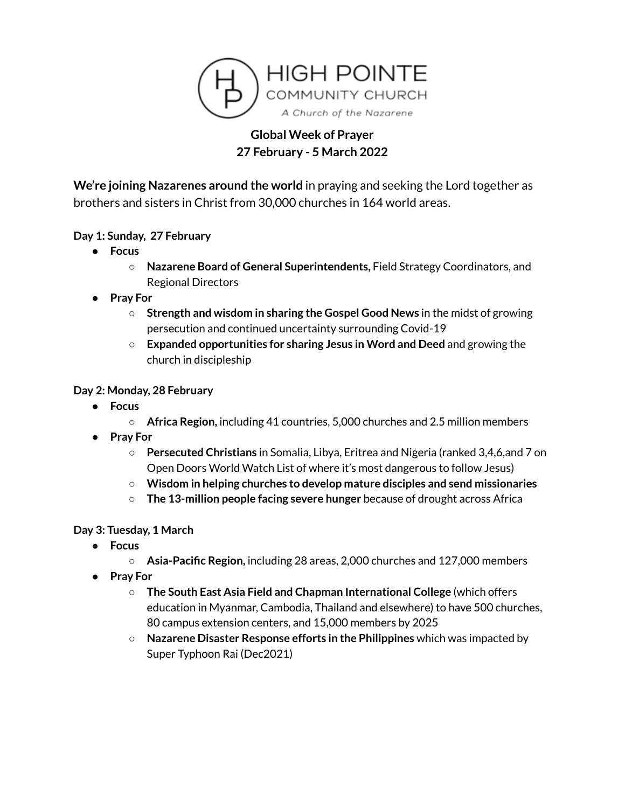

# **Global Week of Prayer 27 February - 5 March 2022**

**We're joining Nazarenes around the world** in praying and seeking the Lord together as brothers and sisters in Christ from 30,000 churches in 164 world areas.

### **Day 1: Sunday, 27 February**

- **● Focus**
	- **○ Nazarene Board of General Superintendents,** Field Strategy Coordinators, and Regional Directors
- **● Pray For**
	- **○ Strength and wisdom in sharing the Gospel Good News** in the midst of growing persecution and continued uncertainty surrounding Covid-19
	- **○ Expanded opportunities for sharing Jesus in Word and Deed** and growing the church in discipleship

#### **Day 2: Monday, 28 February**

- **● Focus**
	- **○ Africa Region,** including 41 countries, 5,000 churches and 2.5 million members
- **● Pray For**
	- **○ Persecuted Christians** in Somalia, Libya, Eritrea and Nigeria (ranked 3,4,6,and 7 on Open Doors World Watch List of where it's most dangerous to follow Jesus)
	- **○ Wisdom in helping churches to develop mature disciples and send missionaries**
	- **○ The 13-million people facing severe hunger** because of drought across Africa

**Day 3: Tuesday, 1 March**

- **● Focus**
	- **○ Asia-Pacific Region,** including 28 areas, 2,000 churches and 127,000 members
- **● Pray For**
	- **○ The South East Asia Field and Chapman International College** (which offers education in Myanmar, Cambodia, Thailand and elsewhere) to have 500 churches, 80 campus extension centers, and 15,000 members by 2025
	- **Nazarene Disaster Response efforts in the Philippines** which was impacted by Super Typhoon Rai (Dec2021)